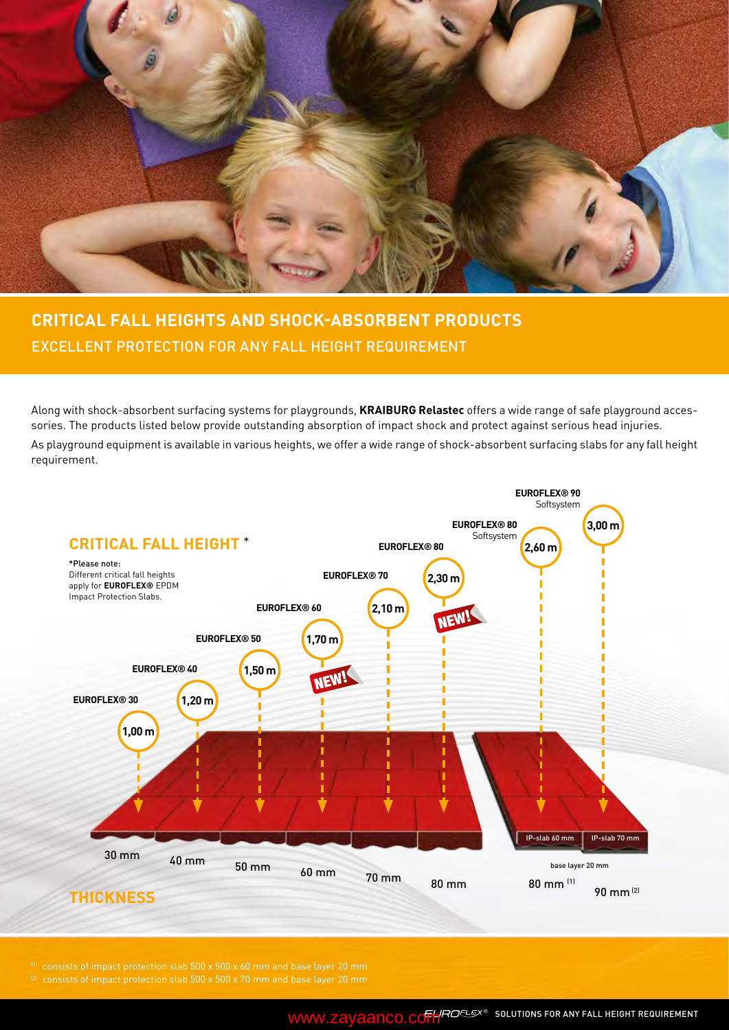

### **CRITICAL FALL HEIGHTS AND SHOCK-ABSORBENT PRODUCTS** EXCELLENT PROTECTION FOR ANY FALL HEIGHT REQUIREMENT

Along with shock-absorbent surfacing systems for playgrounds, **KRAIBURG Relastec** offers a wide range of safe playground accessories. The products listed below provide outstanding absorption of impact shock and protect against serious head injuries.

As playground equipment is available in various heights, we offer a wide range of shock-absorbent surfacing slabs for any fall height requirement.

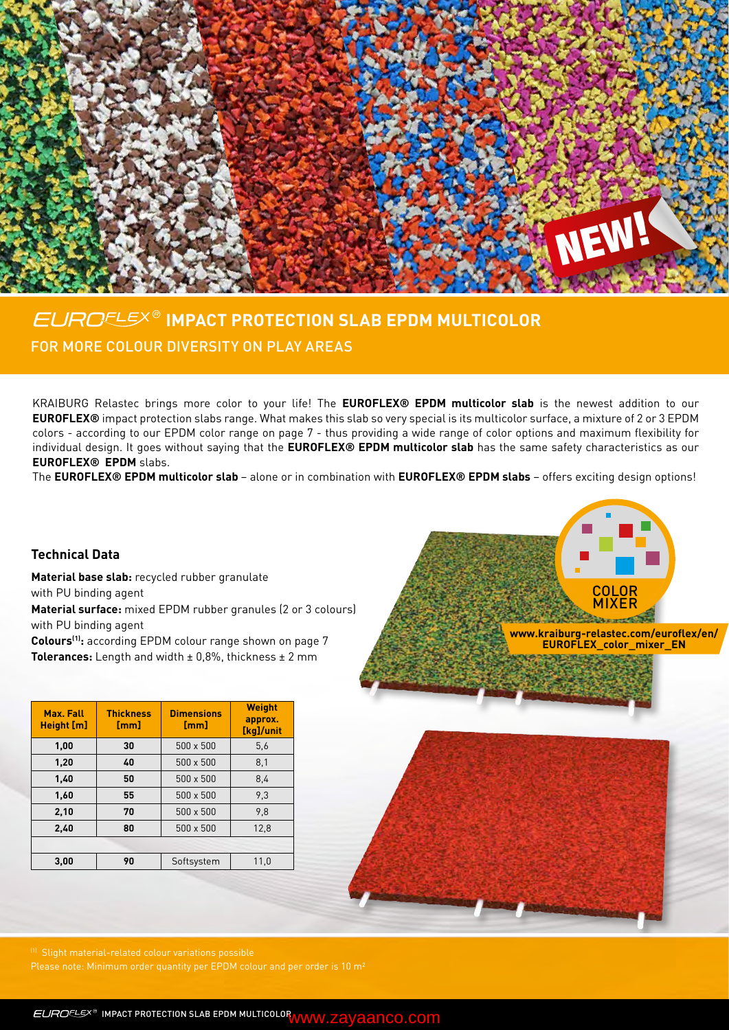

## **IMPACT PROTECTION SLAB EPDM MULTICOLOR** FOR MORE COLOUR DIVERSITY ON PLAY AREAS

KRAIBURG Relastec brings more color to your life! The **EUROFLEX® EPDM multicolor slab** is the newest addition to our **EUROFLEX®** impact protection slabs range. What makes this slab so very special is its multicolor surface, a mixture of 2 or 3 EPDM colors - according to our EPDM color range on page 7 - thus providing a wide range of color options and maximum flexibility for individual design. It goes without saying that the **EUROFLEX® EPDM multicolor slab** has the same safety characteristics as our **EUROFLEX® EPDM** slabs.

The **EUROFLEX® EPDM multicolor slab** – alone or in combination with **EUROFLEX® EPDM slabs** – offers exciting design options!

#### **Technical Data**

**Material base slab:** recycled rubber granulate with PU binding agent **Material surface:** mixed EPDM rubber granules (2 or 3 colours) with PU binding agent

Colours<sup>(1)</sup>: according EPDM colour range shown on page 7 **Tolerances:** Length and width ± 0,8%, thickness ± 2 mm

| Max. Fall<br>Height [m] | <b>Thickness</b><br>[mm] | <b>Dimensions</b><br>[mm] | <b>Weight</b><br>approx.<br>[kg]/unit |
|-------------------------|--------------------------|---------------------------|---------------------------------------|
| 1,00                    | 30                       | $500 \times 500$          | 5,6                                   |
| 1,20                    | 40                       | $500 \times 500$          | 8,1                                   |
| 1,40                    | 50                       | $500 \times 500$          | 8,4                                   |
| 1,60                    | 55                       | $500 \times 500$          | 9,3                                   |
| 2,10                    | 70                       | $500 \times 500$          | 9.8                                   |
| 2,40                    | 80                       | 500 x 500                 | 12,8                                  |
|                         |                          |                           |                                       |
| 3.00                    | 90                       | Softsystem                | 11,0                                  |